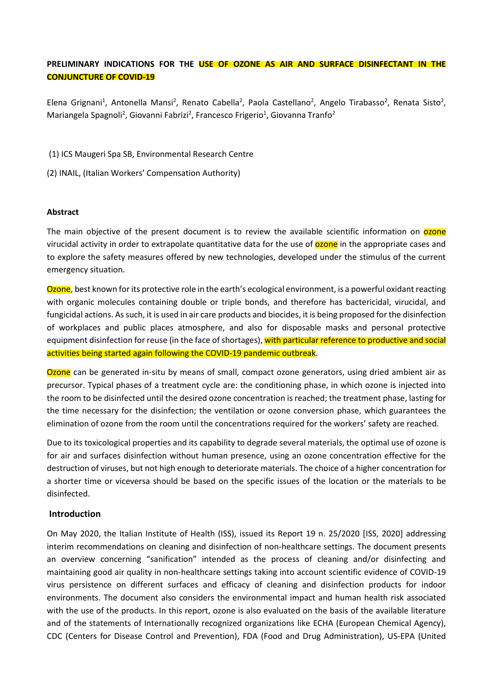# **PRELIMINARY INDICATIONS FOR THE USE OF OZONE AS AIR AND SURFACE DISINFECTANT IN THE CONJUNCTURE OF COVID-19**

Elena Grignani<sup>1</sup>, Antonella Mansi<sup>2</sup>, Renato Cabella<sup>2</sup>, Paola Castellano<sup>2</sup>, Angelo Tirabasso<sup>2</sup>, Renata Sisto<sup>2</sup>, Mariangela Spagnoli<sup>2</sup>, Giovanni Fabrizi<sup>2</sup>, Francesco Frigerio<sup>1</sup>, Giovanna Tranfo<sup>2</sup>

(1) ICS Maugeri Spa SB, Environmental Research Centre

(2) INAIL, (Italian Workers' Compensation Authority)

### **Abstract**

The main objective of the present document is to review the available scientific information on **ozone** virucidal activity in order to extrapolate quantitative data for the use of **ozone** in the appropriate cases and to explore the safety measures offered by new technologies, developed under the stimulus of the current emergency situation.

Ozone, best known for its protective role in the earth's ecological environment, is a powerful oxidant reacting with organic molecules containing double or triple bonds, and therefore has bactericidal, virucidal, and fungicidal actions. As such, it is used in air care products and biocides, it is being proposed for the disinfection of workplaces and public places atmosphere, and also for disposable masks and personal protective equipment disinfection for reuse (in the face of shortages), with particular reference to productive and social activities being started again following the COVID-19 pandemic outbreak.

**Ozone** can be generated in-situ by means of small, compact ozone generators, using dried ambient air as precursor. Typical phases of a treatment cycle are: the conditioning phase, in which ozone is injected into the room to be disinfected until the desired ozone concentration is reached; the treatment phase, lasting for the time necessary for the disinfection; the ventilation or ozone conversion phase, which guarantees the elimination of ozone from the room until the concentrations required for the workers' safety are reached.

Due to its toxicological properties and its capability to degrade several materials, the optimal use of ozone is for air and surfaces disinfection without human presence, using an ozone concentration effective for the destruction of viruses, but not high enough to deteriorate materials. The choice of a higher concentration for a shorter time or viceversa should be based on the specific issues of the location or the materials to be disinfected.

### **Introduction**

On May 2020, the Italian Institute of Health (ISS), issued its Report 19 n. 25/2020 [ISS, 2020] addressing interim recommendations on cleaning and disinfection of non-healthcare settings. The document presents an overview concerning "sanification" intended as the process of cleaning and/or disinfecting and maintaining good air quality in non-healthcare settings taking into account scientific evidence of COVID-19 virus persistence on different surfaces and efficacy of cleaning and disinfection products for indoor environments. The document also considers the environmental impact and human health risk associated with the use of the products. In this report, ozone is also evaluated on the basis of the available literature and of the statements of Internationally recognized organizations like ECHA (European Chemical Agency), CDC (Centers for Disease Control and Prevention), FDA (Food and Drug Administration), US-EPA (United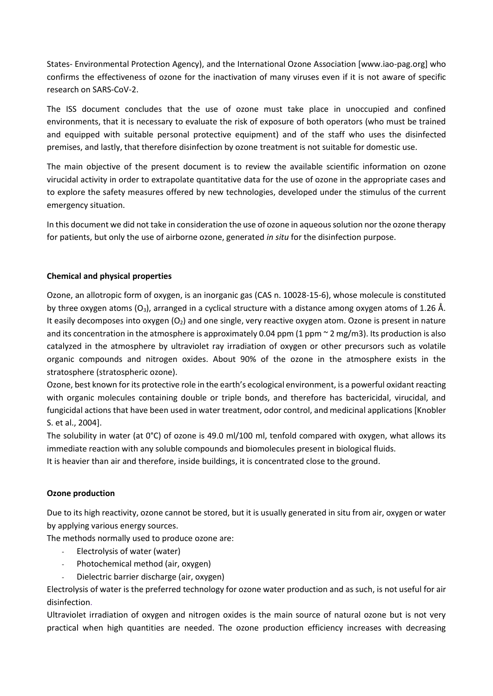States- Environmental Protection Agency), and the International Ozone Association [www.iao-pag.org] who confirms the effectiveness of ozone for the inactivation of many viruses even if it is not aware of specific research on SARS-CoV-2.

The ISS document concludes that the use of ozone must take place in unoccupied and confined environments, that it is necessary to evaluate the risk of exposure of both operators (who must be trained and equipped with suitable personal protective equipment) and of the staff who uses the disinfected premises, and lastly, that therefore disinfection by ozone treatment is not suitable for domestic use.

The main objective of the present document is to review the available scientific information on ozone virucidal activity in order to extrapolate quantitative data for the use of ozone in the appropriate cases and to explore the safety measures offered by new technologies, developed under the stimulus of the current emergency situation.

In this document we did not take in consideration the use of ozone in aqueous solution nor the ozone therapy for patients, but only the use of airborne ozone, generated *in situ* for the disinfection purpose.

# **Chemical and physical properties**

Ozone, an allotropic form of oxygen, is an inorganic gas (CAS n. 10028-15-6), whose molecule is constituted by three oxygen atoms  $(O_3)$ , arranged in a cyclical structure with a distance among oxygen atoms of 1.26 Å. It easily decomposes into oxygen  $(O_2)$  and one single, very reactive oxygen atom. Ozone is present in nature and its concentration in the atmosphere is approximately 0.04 ppm (1 ppm  $\sim$  2 mg/m3). Its production is also catalyzed in the atmosphere by ultraviolet ray irradiation of oxygen or other precursors such as volatile organic compounds and nitrogen oxides. About 90% of the ozone in the atmosphere exists in the stratosphere (stratospheric ozone).

Ozone, best known for its protective role in the earth's ecological environment, is a powerful oxidant reacting with organic molecules containing double or triple bonds, and therefore has bactericidal, virucidal, and fungicidal actions that have been used in water treatment, odor control, and medicinal applications [Knobler S. et al., 2004].

The solubility in water (at 0°C) of ozone is 49.0 ml/100 ml, tenfold compared with oxygen, what allows its immediate reaction with any soluble compounds and biomolecules present in biological fluids.

It is heavier than air and therefore, inside buildings, it is concentrated close to the ground.

# **Ozone production**

Due to its high reactivity, ozone cannot be stored, but it is usually generated in situ from air, oxygen or water by applying various energy sources.

The methods normally used to produce ozone are:

- Electrolysis of water (water)
- Photochemical method (air, oxygen)
- Dielectric barrier discharge (air, oxygen)

Electrolysis of water is the preferred technology for ozone water production and as such, is not useful for air disinfection.

Ultraviolet irradiation of oxygen and nitrogen oxides is the main source of natural ozone but is not very practical when high quantities are needed. The ozone production efficiency increases with decreasing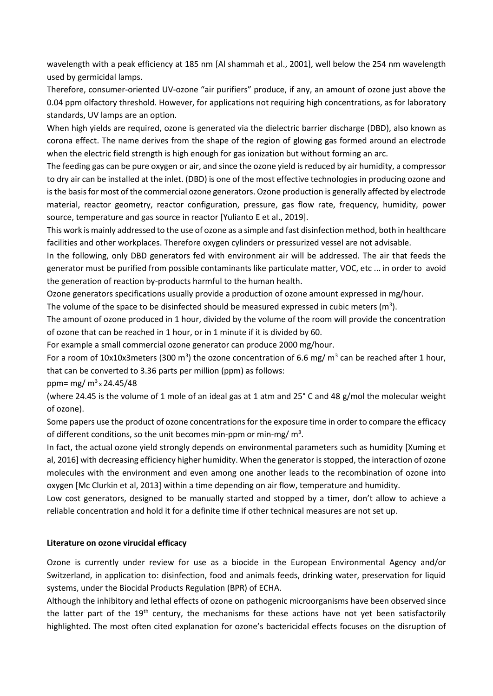wavelength with a peak efficiency at 185 nm [Al shammah et al., 2001], well below the 254 nm wavelength used by germicidal lamps.

Therefore, consumer-oriented UV-ozone "air purifiers" produce, if any, an amount of ozone just above the 0.04 ppm olfactory threshold. However, for applications not requiring high concentrations, as for laboratory standards, UV lamps are an option.

When high yields are required, ozone is generated via the dielectric barrier discharge (DBD), also known as corona effect. The name derives from the shape of the region of glowing gas formed around an electrode when the electric field strength is high enough for gas ionization but without forming an arc.

The feeding gas can be pure oxygen or air, and since the ozone yield is reduced by air humidity, a compressor to dry air can be installed at the inlet. (DBD) is one of the most effective technologies in producing ozone and is the basis for most of the commercial ozone generators. Ozone production is generally affected by electrode material, reactor geometry, reactor configuration, pressure, gas flow rate, frequency, humidity, power source, temperature and gas source in reactor [Yulianto E et al., 2019].

This work is mainly addressed to the use of ozone as a simple and fast disinfection method, both in healthcare facilities and other workplaces. Therefore oxygen cylinders or pressurized vessel are not advisable.

In the following, only DBD generators fed with environment air will be addressed. The air that feeds the generator must be purified from possible contaminants like particulate matter, VOC, etc ... in order to avoid the generation of reaction by-products harmful to the human health.

Ozone generators specifications usually provide a production of ozone amount expressed in mg/hour.

The volume of the space to be disinfected should be measured expressed in cubic meters (m<sup>3</sup>).

The amount of ozone produced in 1 hour, divided by the volume of the room will provide the concentration of ozone that can be reached in 1 hour, or in 1 minute if it is divided by 60.

For example a small commercial ozone generator can produce 2000 mg/hour.

For a room of 10x10x3meters (300 m<sup>3</sup>) the ozone concentration of 6.6 mg/ m<sup>3</sup> can be reached after 1 hour, that can be converted to 3.36 parts per million (ppm) as follows:

ppm= mg/ m<sup>3</sup> x 24.45/48

(where 24.45 is the volume of 1 mole of an ideal gas at 1 atm and 25° C and 48 g/mol the molecular weight of ozone).

Some papers use the product of ozone concentrations for the exposure time in order to compare the efficacy of different conditions, so the unit becomes min-ppm or min-mg/ $m<sup>3</sup>$ .

In fact, the actual ozone yield strongly depends on environmental parameters such as humidity [Xuming et al, 2016] with decreasing efficiency higher humidity. When the generator is stopped, the interaction of ozone molecules with the environment and even among one another leads to the recombination of ozone into oxygen [Mc Clurkin et al, 2013] within a time depending on air flow, temperature and humidity.

Low cost generators, designed to be manually started and stopped by a timer, don't allow to achieve a reliable concentration and hold it for a definite time if other technical measures are not set up.

# **Literature on ozone virucidal efficacy**

Ozone is currently under review for use as a biocide in the European Environmental Agency and/or Switzerland, in application to: disinfection, food and animals feeds, drinking water, preservation for liquid systems, under the Biocidal Products Regulation (BPR) of ECHA.

Although the inhibitory and lethal effects of ozone on pathogenic microorganisms have been observed since the latter part of the 19<sup>th</sup> century, the mechanisms for these actions have not yet been satisfactorily highlighted. The most often cited explanation for ozone's bactericidal effects focuses on the disruption of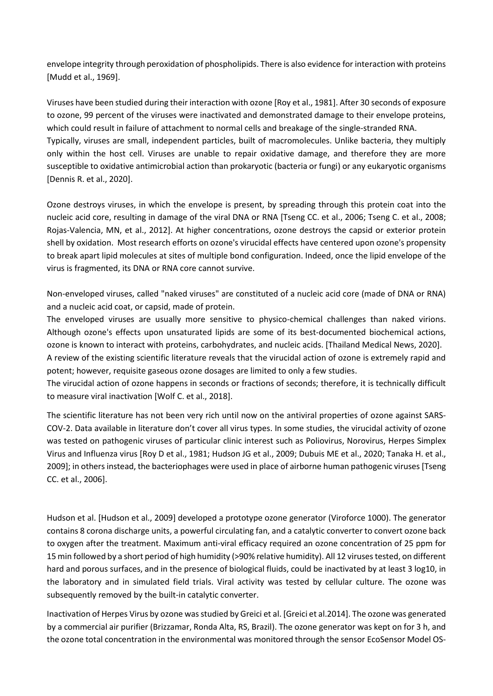envelope integrity through peroxidation of phospholipids. There is also evidence for interaction with proteins [Mudd et al., 1969].

Viruses have been studied during their interaction with ozone [Roy et al., 1981]. After 30 seconds of exposure to ozone, 99 percent of the viruses were inactivated and demonstrated damage to their envelope proteins, which could result in failure of attachment to normal cells and breakage of the single-stranded RNA. Typically, viruses are small, independent particles, built of macromolecules. Unlike bacteria, they multiply only within the host cell. Viruses are unable to repair oxidative damage, and therefore they are more susceptible to oxidative antimicrobial action than prokaryotic (bacteria or fungi) or any eukaryotic organisms [Dennis R. et al., 2020].

Ozone destroys viruses, in which the envelope is present, by spreading through this protein coat into the nucleic acid core, resulting in damage of the viral DNA or RNA [Tseng CC. et al., 2006; Tseng C. et al., 2008; Rojas-Valencia, MN, et al., 2012]. At higher concentrations, ozone destroys the capsid or exterior protein shell by oxidation. Most research efforts on ozone's virucidal effects have centered upon ozone's propensity to break apart lipid molecules at sites of multiple bond configuration. Indeed, once the lipid envelope of the virus is fragmented, its DNA or RNA core cannot survive.

Non-enveloped viruses, called "naked viruses" are constituted of a nucleic acid core (made of DNA or RNA) and a nucleic acid coat, or capsid, made of protein.

The enveloped viruses are usually more sensitive to physico-chemical challenges than naked virions. Although ozone's effects upon unsaturated lipids are some of its best-documented biochemical actions, ozone is known to interact with proteins, carbohydrates, and nucleic acids. [Thailand Medical News, 2020].

A review of the existing scientific literature reveals that the virucidal action of ozone is extremely rapid and potent; however, requisite gaseous ozone dosages are limited to only a few studies.

The virucidal action of ozone happens in seconds or fractions of seconds; therefore, it is technically difficult to measure viral inactivation [Wolf C. et al., 2018].

The scientific literature has not been very rich until now on the antiviral properties of ozone against SARS-COV-2. Data available in literature don't cover all virus types. In some studies, the virucidal activity of ozone was tested on pathogenic viruses of particular clinic interest such as Poliovirus, Norovirus, Herpes Simplex Virus and Influenza virus [Roy D et al., 1981; Hudson JG et al., 2009; Dubuis ME et al., 2020; Tanaka H. et al., 2009]; in others instead, the bacteriophages were used in place of airborne human pathogenic viruses[Tseng CC. et al., 2006].

Hudson et al. [Hudson et al., 2009] developed a prototype ozone generator (Viroforce 1000). The generator contains 8 corona discharge units, a powerful circulating fan, and a catalytic converter to convert ozone back to oxygen after the treatment. Maximum anti-viral efficacy required an ozone concentration of 25 ppm for 15 min followed by a short period of high humidity (>90% relative humidity). All 12 viruses tested, on different hard and porous surfaces, and in the presence of biological fluids, could be inactivated by at least 3 log10, in the laboratory and in simulated field trials. Viral activity was tested by cellular culture. The ozone was subsequently removed by the built-in catalytic converter.

Inactivation of Herpes Virus by ozone was studied by Greici et al. [Greici et al.2014]. The ozone was generated by a commercial air purifier (Brizzamar, Ronda Alta, RS, Brazil). The ozone generator was kept on for 3 h, and the ozone total concentration in the environmental was monitored through the sensor EcoSensor Model OS-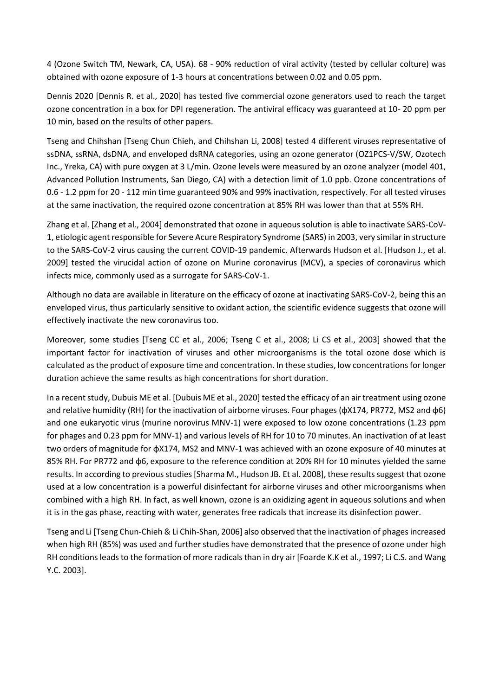4 (Ozone Switch TM, Newark, CA, USA). 68 - 90% reduction of viral activity (tested by cellular colture) was obtained with ozone exposure of 1-3 hours at concentrations between 0.02 and 0.05 ppm.

Dennis 2020 [Dennis R. et al., 2020] has tested five commercial ozone generators used to reach the target ozone concentration in a box for DPI regeneration. The antiviral efficacy was guaranteed at 10- 20 ppm per 10 min, based on the results of other papers.

Tseng and Chihshan [Tseng Chun Chieh, and Chihshan Li, 2008] tested 4 different viruses representative of ssDNA, ssRNA, dsDNA, and enveloped dsRNA categories, using an ozone generator (OZ1PCS-V/SW, Ozotech Inc., Yreka, CA) with pure oxygen at 3 L/min. Ozone levels were measured by an ozone analyzer (model 401, Advanced Pollution Instruments, San Diego, CA) with a detection limit of 1.0 ppb. Ozone concentrations of 0.6 - 1.2 ppm for 20 - 112 min time guaranteed 90% and 99% inactivation, respectively. For all tested viruses at the same inactivation, the required ozone concentration at 85% RH was lower than that at 55% RH.

Zhang et al. [Zhang et al., 2004] demonstrated that ozone in aqueous solution is able to inactivate SARS-CoV-1, etiologic agent responsible for Severe Acure Respiratory Syndrome (SARS) in 2003, very similar in structure to the SARS-CoV-2 virus causing the current COVID-19 pandemic. Afterwards Hudson et al. [Hudson J., et al. 2009] tested the virucidal action of ozone on Murine coronavirus (MCV), a species of coronavirus which infects mice, commonly used as a surrogate for SARS-CoV-1.

Although no data are available in literature on the efficacy of ozone at inactivating SARS-CoV-2, being this an enveloped virus, thus particularly sensitive to oxidant action, the scientific evidence suggests that ozone will effectively inactivate the new coronavirus too.

Moreover, some studies [Tseng CC et al., 2006; Tseng C et al., 2008; Li CS et al., 2003] showed that the important factor for inactivation of viruses and other microorganisms is the total ozone dose which is calculated as the product of exposure time and concentration. In these studies, low concentrations for longer duration achieve the same results as high concentrations for short duration.

In a recent study, Dubuis ME et al. [Dubuis ME et al., 2020] tested the efficacy of an air treatment using ozone and relative humidity (RH) for the inactivation of airborne viruses. Four phages (φX174, PR772, MS2 and φ6) and one eukaryotic virus (murine norovirus MNV-1) were exposed to low ozone concentrations (1.23 ppm for phages and 0.23 ppm for MNV-1) and various levels of RH for 10 to 70 minutes. An inactivation of at least two orders of magnitude for φX174, MS2 and MNV-1 was achieved with an ozone exposure of 40 minutes at 85% RH. For PR772 and φ6, exposure to the reference condition at 20% RH for 10 minutes yielded the same results. In according to previous studies [Sharma M., Hudson JB. Et al. 2008], these results suggest that ozone used at a low concentration is a powerful disinfectant for airborne viruses and other microorganisms when combined with a high RH. In fact, as well known, ozone is an oxidizing agent in aqueous solutions and when it is in the gas phase, reacting with water, generates free radicals that increase its disinfection power.

Tseng and Li [Tseng Chun-Chieh & Li Chih-Shan, 2006] also observed that the inactivation of phages increased when high RH (85%) was used and further studies have demonstrated that the presence of ozone under high RH conditions leads to the formation of more radicals than in dry air [Foarde K.K et al., 1997; Li C.S. and Wang Y.C. 2003].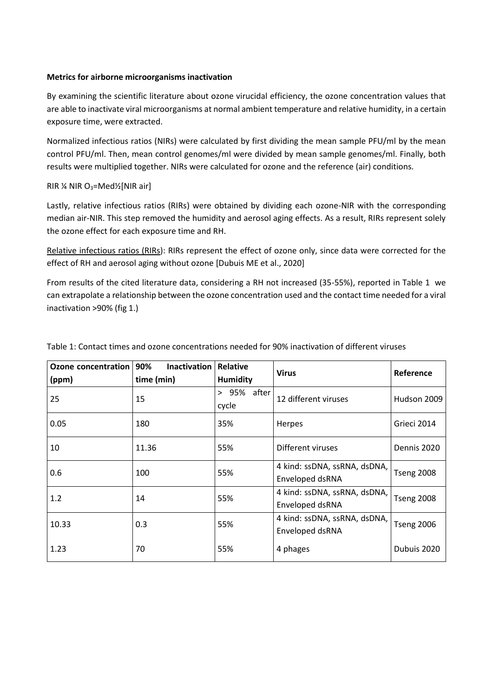## **Metrics for airborne microorganisms inactivation**

By examining the scientific literature about ozone virucidal efficiency, the ozone concentration values that are able to inactivate viral microorganisms at normal ambient temperature and relative humidity, in a certain exposure time, were extracted.

Normalized infectious ratios (NIRs) were calculated by first dividing the mean sample PFU/ml by the mean control PFU/ml. Then, mean control genomes/ml were divided by mean sample genomes/ml. Finally, both results were multiplied together. NIRs were calculated for ozone and the reference (air) conditions.

## RIR  $\frac{1}{4}$  NIR O<sub>3</sub>=Med<sup>1</sup>/<sub>2</sub>[NIR air]

Lastly, relative infectious ratios (RIRs) were obtained by dividing each ozone-NIR with the corresponding median air-NIR. This step removed the humidity and aerosol aging effects. As a result, RIRs represent solely the ozone effect for each exposure time and RH.

Relative infectious ratios (RIRs): RIRs represent the effect of ozone only, since data were corrected for the effect of RH and aerosol aging without ozone [Dubuis ME et al., 2020]

From results of the cited literature data, considering a RH not increased (35-55%), reported in Table 1 we can extrapolate a relationship between the ozone concentration used and the contact time needed for a viral inactivation >90% (fig 1.)

| Ozone concentration<br>(ppm) | 90%<br><b>Inactivation</b><br>time (min) | <b>Relative</b><br><b>Humidity</b> | <b>Virus</b>                                    | Reference         |
|------------------------------|------------------------------------------|------------------------------------|-------------------------------------------------|-------------------|
| 25                           | 15                                       | 95% after<br>$\geq$<br>cycle       | 12 different viruses                            | Hudson 2009       |
| 0.05                         | 180                                      | 35%                                | <b>Herpes</b>                                   | Grieci 2014       |
| 10                           | 11.36                                    | 55%                                | Different viruses                               | Dennis 2020       |
| 0.6                          | 100                                      | 55%                                | 4 kind: ssDNA, ssRNA, dsDNA,<br>Enveloped dsRNA | <b>Tseng 2008</b> |
| 1.2                          | 14                                       | 55%                                | 4 kind: ssDNA, ssRNA, dsDNA,<br>Enveloped dsRNA | <b>Tseng 2008</b> |
| 10.33                        | 0.3                                      | 55%                                | 4 kind: ssDNA, ssRNA, dsDNA,<br>Enveloped dsRNA | <b>Tseng 2006</b> |
| 1.23                         | 70                                       | 55%                                | 4 phages                                        | Dubuis 2020       |

Table 1: Contact times and ozone concentrations needed for 90% inactivation of different viruses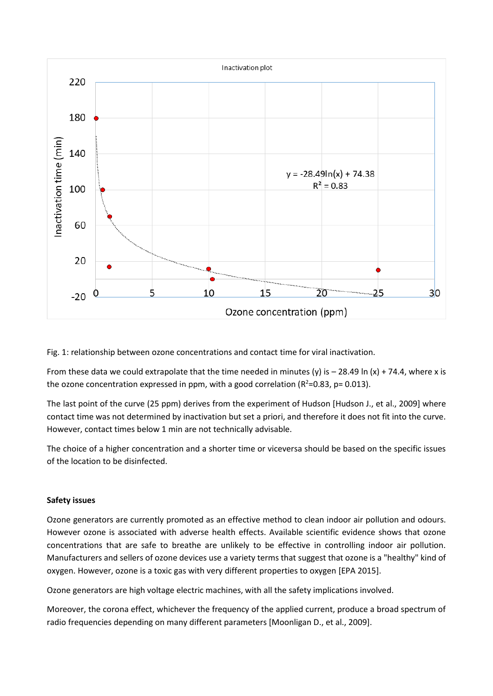

Fig. 1: relationship between ozone concentrations and contact time for viral inactivation.

From these data we could extrapolate that the time needed in minutes (y) is  $-$  28.49 ln (x) + 74.4, where x is the ozone concentration expressed in ppm, with a good correlation ( $R^2$ =0.83, p= 0.013).

The last point of the curve (25 ppm) derives from the experiment of Hudson [Hudson J., et al., 2009] where contact time was not determined by inactivation but set a priori, and therefore it does not fit into the curve. However, contact times below 1 min are not technically advisable.

The choice of a higher concentration and a shorter time or viceversa should be based on the specific issues of the location to be disinfected.

# **Safety issues**

Ozone generators are currently promoted as an effective method to clean indoor air pollution and odours. However ozone is associated with adverse health effects. Available scientific evidence shows that ozone concentrations that are safe to breathe are unlikely to be effective in controlling indoor air pollution. Manufacturers and sellers of ozone devices use a variety terms that suggest that ozone is a "healthy" kind of oxygen. However, ozone is a toxic gas with very different properties to oxygen [EPA 2015].

Ozone generators are high voltage electric machines, with all the safety implications involved.

Moreover, the corona effect, whichever the frequency of the applied current, produce a broad spectrum of radio frequencies depending on many different parameters [Moonligan D., et al., 2009].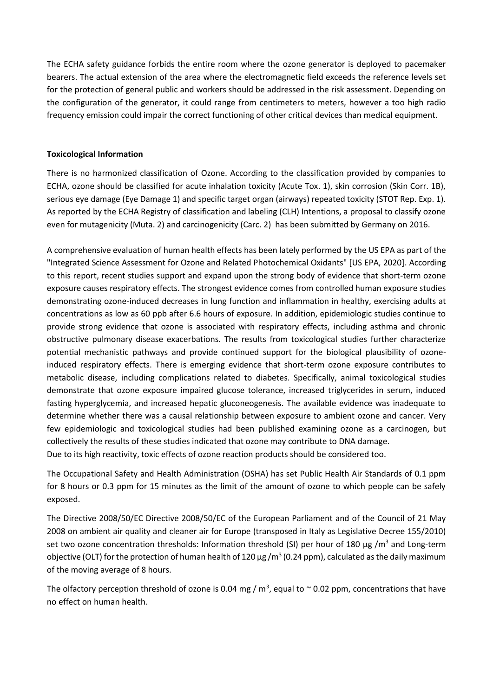The ECHA safety guidance forbids the entire room where the ozone generator is deployed to pacemaker bearers. The actual extension of the area where the electromagnetic field exceeds the reference levels set for the protection of general public and workers should be addressed in the risk assessment. Depending on the configuration of the generator, it could range from centimeters to meters, however a too high radio frequency emission could impair the correct functioning of other critical devices than medical equipment.

# **Toxicological Information**

There is no harmonized classification of Ozone. According to the classification provided by companies to ECHA, ozone should be classified for acute inhalation toxicity (Acute Tox. 1), skin corrosion (Skin Corr. 1B), serious eye damage (Eye Damage 1) and specific target organ (airways) repeated toxicity (STOT Rep. Exp. 1). As reported by the ECHA Registry of classification and labeling (CLH) Intentions, a proposal to classify ozone even for mutagenicity (Muta. 2) and carcinogenicity (Carc. 2) has been submitted by Germany on 2016.

A comprehensive evaluation of human health effects has been lately performed by the US EPA as part of the "Integrated Science Assessment for Ozone and Related Photochemical Oxidants" [US EPA, 2020]. According to this report, recent studies support and expand upon the strong body of evidence that short-term ozone exposure causes respiratory effects. The strongest evidence comes from controlled human exposure studies demonstrating ozone-induced decreases in lung function and inflammation in healthy, exercising adults at concentrations as low as 60 ppb after 6.6 hours of exposure. In addition, epidemiologic studies continue to provide strong evidence that ozone is associated with respiratory effects, including asthma and chronic obstructive pulmonary disease exacerbations. The results from toxicological studies further characterize potential mechanistic pathways and provide continued support for the biological plausibility of ozoneinduced respiratory effects. There is emerging evidence that short-term ozone exposure contributes to metabolic disease, including complications related to diabetes. Specifically, animal toxicological studies demonstrate that ozone exposure impaired glucose tolerance, increased triglycerides in serum, induced fasting hyperglycemia, and increased hepatic gluconeogenesis. The available evidence was inadequate to determine whether there was a causal relationship between exposure to ambient ozone and cancer. Very few epidemiologic and toxicological studies had been published examining ozone as a carcinogen, but collectively the results of these studies indicated that ozone may contribute to DNA damage. Due to its high reactivity, toxic effects of ozone reaction products should be considered too.

The Occupational Safety and Health Administration (OSHA) has set Public Health Air Standards of 0.1 ppm for 8 hours or 0.3 ppm for 15 minutes as the limit of the amount of ozone to which people can be safely exposed.

The Directive 2008/50/EC Directive 2008/50/EC of the European Parliament and of the Council of 21 May 2008 on ambient air quality and cleaner air for Europe (transposed in Italy as Legislative Decree 155/2010) set two ozone concentration thresholds: Information threshold (SI) per hour of 180 μg /m<sup>3</sup> and Long-term objective (OLT) for the protection of human health of 120  $\mu$ g/m<sup>3</sup> (0.24 ppm), calculated as the daily maximum of the moving average of 8 hours.

The olfactory perception threshold of ozone is 0.04 mg /  $m^3$ , equal to  $\sim$  0.02 ppm, concentrations that have no effect on human health.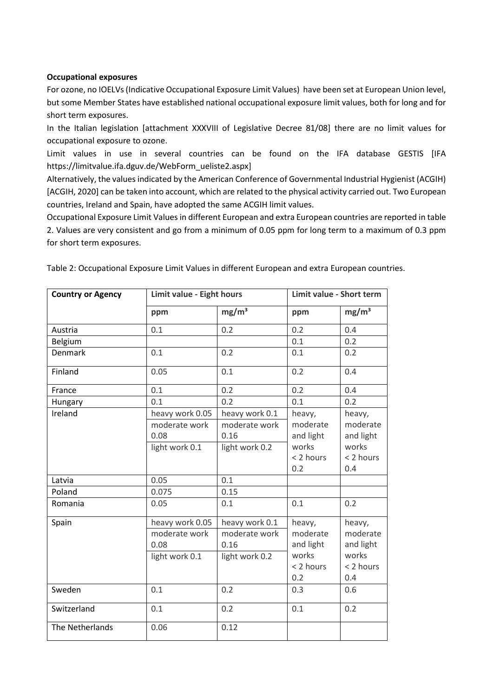### **Occupational exposures**

For ozone, no IOELVs(Indicative Occupational Exposure Limit Values) have been set at European Union level, but some Member States have established national occupational exposure limit values, both for long and for short term exposures.

In the Italian legislation [attachment XXXVIII of Legislative Decree 81/08] there are no limit values for occupational exposure to ozone.

Limit values in use in several countries can be found on the IFA database GESTIS [IFA [https://limitvalue.ifa.dguv.de/WebForm\\_ueliste2.aspx\]](https://limitvalue.ifa.dguv.de/WebForm_ueliste2.aspx)

Alternatively, the values indicated by the American Conference of Governmental Industrial Hygienist (ACGIH) [ACGIH, 2020] can be taken into account, which are related to the physical activity carried out. Two European countries, Ireland and Spain, have adopted the same ACGIH limit values.

Occupational Exposure Limit Values in different European and extra European countries are reported in table 2. Values are very consistent and go from a minimum of 0.05 ppm for long term to a maximum of 0.3 ppm for short term exposures.

| <b>Country or Agency</b> | Limit value - Eight hours |                   | Limit value - Short term |                   |
|--------------------------|---------------------------|-------------------|--------------------------|-------------------|
|                          | ppm                       | mg/m <sup>3</sup> | ppm                      | mg/m <sup>3</sup> |
| Austria                  | 0.1                       | 0.2               | 0.2                      | 0.4               |
| Belgium                  |                           |                   | 0.1                      | 0.2               |
| Denmark                  | 0.1                       | 0.2               | 0.1                      | 0.2               |
| Finland                  | 0.05                      | 0.1               | 0.2                      | 0.4               |
| France                   | 0.1                       | 0.2               | 0.2                      | 0.4               |
| Hungary                  | 0.1                       | 0.2               | 0.1                      | 0.2               |
| Ireland                  | heavy work 0.05           | heavy work 0.1    | heavy,                   | heavy,            |
|                          | moderate work             | moderate work     | moderate                 | moderate          |
|                          | 0.08                      | 0.16              | and light                | and light         |
|                          | light work 0.1            | light work 0.2    | works                    | works             |
|                          |                           |                   | < 2 hours                | < 2 hours         |
|                          |                           |                   | 0.2                      | 0.4               |
| Latvia                   | 0.05                      | 0.1               |                          |                   |
| Poland                   | 0.075                     | 0.15              |                          |                   |
| Romania                  | 0.05                      | 0.1               | 0.1                      | 0.2               |
| Spain                    | heavy work 0.05           | heavy work 0.1    | heavy,                   | heavy,            |
|                          | moderate work             | moderate work     | moderate                 | moderate          |
|                          | 0.08                      | 0.16              | and light                | and light         |
|                          | light work 0.1            | light work 0.2    | works                    | works             |
|                          |                           |                   | < 2 hours                | < 2 hours         |
|                          |                           |                   | 0.2                      | 0.4               |
| Sweden                   | 0.1                       | 0.2               | 0.3                      | 0.6               |
| Switzerland              | 0.1                       | 0.2               | 0.1                      | 0.2               |
| The Netherlands          | 0.06                      | 0.12              |                          |                   |

Table 2: Occupational Exposure Limit Values in different European and extra European countries.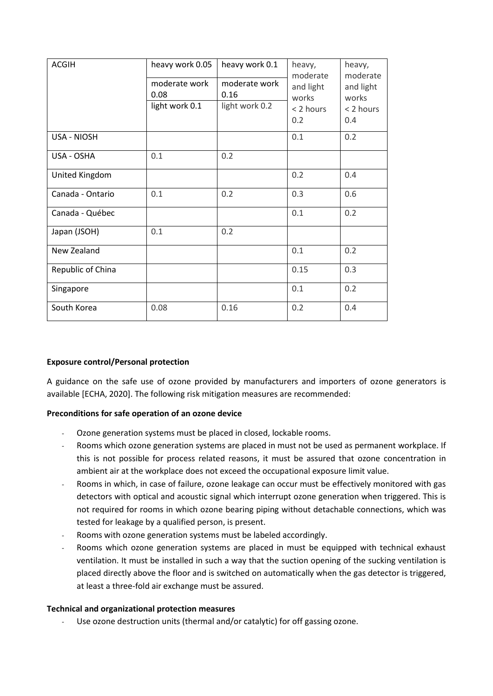| <b>ACGIH</b>       | heavy work 0.05       | heavy work 0.1        | heavy,<br>moderate | heavy,<br>moderate<br>and light<br>works<br>< 2 hours<br>0.4 |
|--------------------|-----------------------|-----------------------|--------------------|--------------------------------------------------------------|
|                    | moderate work<br>0.08 | moderate work<br>0.16 | and light<br>works |                                                              |
|                    | light work 0.1        | light work 0.2        | < 2 hours<br>0.2   |                                                              |
| <b>USA - NIOSH</b> |                       |                       | 0.1                | 0.2                                                          |
| USA - OSHA         | 0.1                   | 0.2                   |                    |                                                              |
| United Kingdom     |                       |                       | 0.2                | 0.4                                                          |
| Canada - Ontario   | 0.1                   | 0.2                   | 0.3                | 0.6                                                          |
| Canada - Québec    |                       |                       | 0.1                | 0.2                                                          |
| Japan (JSOH)       | 0.1                   | 0.2                   |                    |                                                              |
| New Zealand        |                       |                       | 0.1                | 0.2                                                          |
| Republic of China  |                       |                       | 0.15               | 0.3                                                          |
| Singapore          |                       |                       | 0.1                | 0.2                                                          |
| South Korea        | 0.08                  | 0.16                  | 0.2                | 0.4                                                          |

# **Exposure control/Personal protection**

A guidance on the safe use of ozone provided by manufacturers and importers of ozone generators is available [ECHA, 2020]. The following risk mitigation measures are recommended:

# **Preconditions for safe operation of an ozone device**

- Ozone generation systems must be placed in closed, lockable rooms.
- Rooms which ozone generation systems are placed in must not be used as permanent workplace. If this is not possible for process related reasons, it must be assured that ozone concentration in ambient air at the workplace does not exceed the occupational exposure limit value.
- Rooms in which, in case of failure, ozone leakage can occur must be effectively monitored with gas detectors with optical and acoustic signal which interrupt ozone generation when triggered. This is not required for rooms in which ozone bearing piping without detachable connections, which was tested for leakage by a qualified person, is present.
- Rooms with ozone generation systems must be labeled accordingly.
- Rooms which ozone generation systems are placed in must be equipped with technical exhaust ventilation. It must be installed in such a way that the suction opening of the sucking ventilation is placed directly above the floor and is switched on automatically when the gas detector is triggered, at least a three-fold air exchange must be assured.

### **Technical and organizational protection measures**

Use ozone destruction units (thermal and/or catalytic) for off gassing ozone.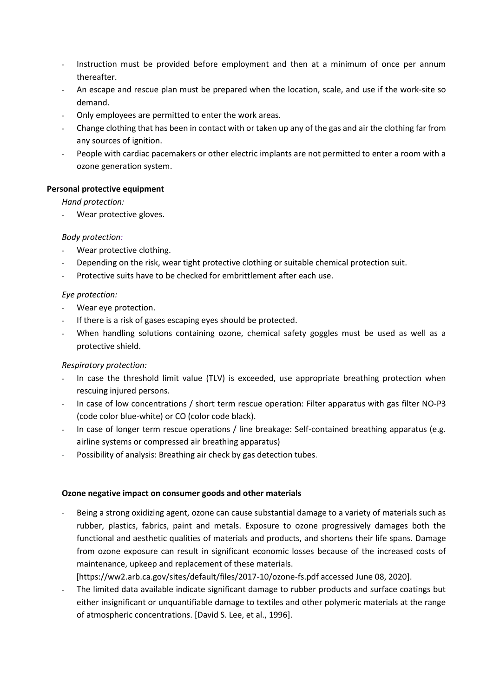- Instruction must be provided before employment and then at a minimum of once per annum thereafter.
- An escape and rescue plan must be prepared when the location, scale, and use if the work-site so demand.
- Only employees are permitted to enter the work areas.
- Change clothing that has been in contact with or taken up any of the gas and air the clothing far from any sources of ignition.
- People with cardiac pacemakers or other electric implants are not permitted to enter a room with a ozone generation system.

# **Personal protective equipment**

*Hand protection:*

Wear protective gloves.

## *Body protection:*

- Wear protective clothing.
- Depending on the risk, wear tight protective clothing or suitable chemical protection suit.
- Protective suits have to be checked for embrittlement after each use.

# *Eye protection:*

- Wear eye protection.
- If there is a risk of gases escaping eyes should be protected.
- When handling solutions containing ozone, chemical safety goggles must be used as well as a protective shield.

# *Respiratory protection:*

- In case the threshold limit value (TLV) is exceeded, use appropriate breathing protection when rescuing injured persons.
- In case of low concentrations / short term rescue operation: Filter apparatus with gas filter NO-P3 (code color blue-white) or CO (color code black).
- In case of longer term rescue operations / line breakage: Self-contained breathing apparatus (e.g. airline systems or compressed air breathing apparatus)
- Possibility of analysis: Breathing air check by gas detection tubes.

# **Ozone negative impact on consumer goods and other materials**

Being a strong oxidizing agent, ozone can cause substantial damage to a variety of materials such as rubber, plastics, fabrics, paint and metals. Exposure to ozone progressively damages both the functional and aesthetic qualities of materials and products, and shortens their life spans. Damage from ozone exposure can result in significant economic losses because of the increased costs of maintenance, upkeep and replacement of these materials.

[https://ww2.arb.ca.gov/sites/default/files/2017-10/ozone-fs.pdf accessed June 08, 2020].

The limited data available indicate significant damage to rubber products and surface coatings but either insignificant or unquantifiable damage to textiles and other polymeric materials at the range of atmospheric concentrations. [David S. Lee, et al., 1996].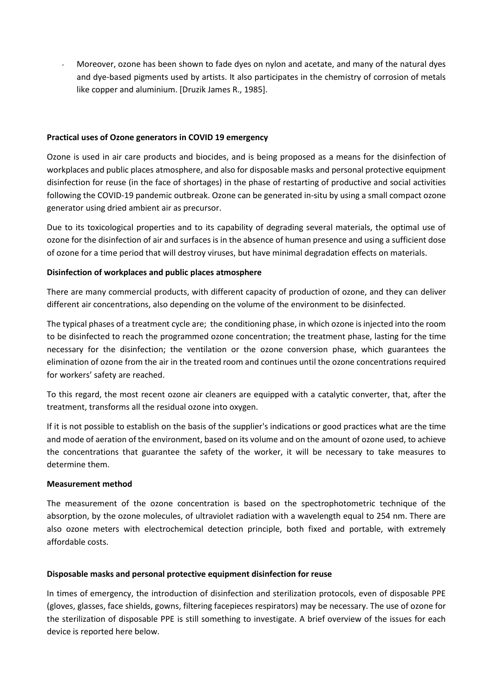- Moreover, ozone has been shown to fade dyes on nylon and acetate, and many of the natural dyes and dye-based pigments used by artists. It also participates in the chemistry of corrosion of metals like copper and aluminium. [Druzik James R., 1985].

### **Practical uses of Ozone generators in COVID 19 emergency**

Ozone is used in air care products and biocides, and is being proposed as a means for the disinfection of workplaces and public places atmosphere, and also for disposable masks and personal protective equipment disinfection for reuse (in the face of shortages) in the phase of restarting of productive and social activities following the COVID-19 pandemic outbreak. Ozone can be generated in-situ by using a small compact ozone generator using dried ambient air as precursor.

Due to its toxicological properties and to its capability of degrading several materials, the optimal use of ozone for the disinfection of air and surfaces is in the absence of human presence and using a sufficient dose of ozone for a time period that will destroy viruses, but have minimal degradation effects on materials.

## **Disinfection of workplaces and public places atmosphere**

There are many commercial products, with different capacity of production of ozone, and they can deliver different air concentrations, also depending on the volume of the environment to be disinfected.

The typical phases of a treatment cycle are; the conditioning phase, in which ozone is injected into the room to be disinfected to reach the programmed ozone concentration; the treatment phase, lasting for the time necessary for the disinfection; the ventilation or the ozone conversion phase, which guarantees the elimination of ozone from the air in the treated room and continues until the ozone concentrations required for workers' safety are reached.

To this regard, the most recent ozone air cleaners are equipped with a catalytic converter, that, after the treatment, transforms all the residual ozone into oxygen.

If it is not possible to establish on the basis of the supplier's indications or good practices what are the time and mode of aeration of the environment, based on its volume and on the amount of ozone used, to achieve the concentrations that guarantee the safety of the worker, it will be necessary to take measures to determine them.

### **Measurement method**

The measurement of the ozone concentration is based on the spectrophotometric technique of the absorption, by the ozone molecules, of ultraviolet radiation with a wavelength equal to 254 nm. There are also ozone meters with electrochemical detection principle, both fixed and portable, with extremely affordable costs.

### **Disposable masks and personal protective equipment disinfection for reuse**

In times of emergency, the introduction of disinfection and sterilization protocols, even of disposable PPE (gloves, glasses, face shields, gowns, filtering facepieces respirators) may be necessary. The use of ozone for the sterilization of disposable PPE is still something to investigate. A brief overview of the issues for each device is reported here below.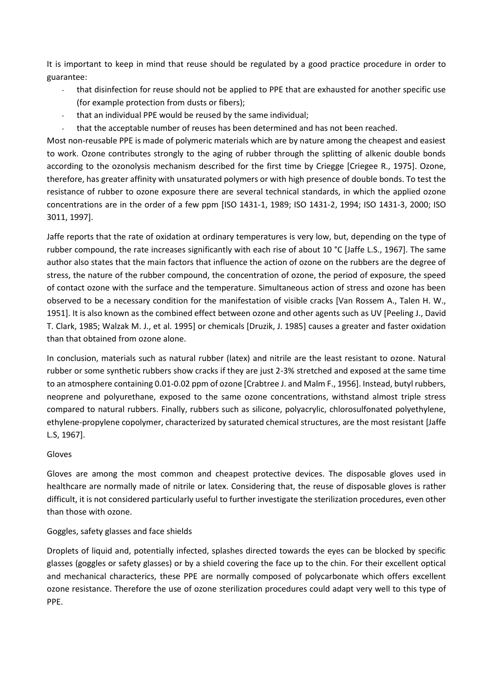It is important to keep in mind that reuse should be regulated by a good practice procedure in order to guarantee:

- that disinfection for reuse should not be applied to PPE that are exhausted for another specific use (for example protection from dusts or fibers);
- that an individual PPE would be reused by the same individual;
- that the acceptable number of reuses has been determined and has not been reached.

Most non-reusable PPE is made of polymeric materials which are by nature among the cheapest and easiest to work. Ozone contributes strongly to the aging of rubber through the splitting of alkenic double bonds according to the ozonolysis mechanism described for the first time by Criegge [Criegee R., 1975]. Ozone, therefore, has greater affinity with unsaturated polymers or with high presence of double bonds. To test the resistance of rubber to ozone exposure there are several technical standards, in which the applied ozone concentrations are in the order of a few ppm [ISO 1431-1, 1989; ISO 1431-2, 1994; ISO 1431-3, 2000; ISO 3011, 1997].

Jaffe reports that the rate of oxidation at ordinary temperatures is very low, but, depending on the type of rubber compound, the rate increases significantly with each rise of about 10 °C [Jaffe L.S., 1967]. The same author also states that the main factors that influence the action of ozone on the rubbers are the degree of stress, the nature of the rubber compound, the concentration of ozone, the period of exposure, the speed of contact ozone with the surface and the temperature. Simultaneous action of stress and ozone has been observed to be a necessary condition for the manifestation of visible cracks [Van Rossem A., Talen H. W., 1951]. It is also known as the combined effect between ozone and other agents such as UV [Peeling J., David T. Clark, 1985; Walzak M. J., et al. 1995] or chemicals [Druzik, J. 1985] causes a greater and faster oxidation than that obtained from ozone alone.

In conclusion, materials such as natural rubber (latex) and nitrile are the least resistant to ozone. Natural rubber or some synthetic rubbers show cracks if they are just 2-3% stretched and exposed at the same time to an atmosphere containing 0.01-0.02 ppm of ozone [Crabtree J. and Malm F., 1956]. Instead, butyl rubbers, neoprene and polyurethane, exposed to the same ozone concentrations, withstand almost triple stress compared to natural rubbers. Finally, rubbers such as silicone, polyacrylic, chlorosulfonated polyethylene, ethylene-propylene copolymer, characterized by saturated chemical structures, are the most resistant [Jaffe L.S, 1967].

### Gloves

Gloves are among the most common and cheapest protective devices. The disposable gloves used in healthcare are normally made of nitrile or latex. Considering that, the reuse of disposable gloves is rather difficult, it is not considered particularly useful to further investigate the sterilization procedures, even other than those with ozone.

### Goggles, safety glasses and face shields

Droplets of liquid and, potentially infected, splashes directed towards the eyes can be blocked by specific glasses (goggles or safety glasses) or by a shield covering the face up to the chin. For their excellent optical and mechanical characterics, these PPE are normally composed of polycarbonate which offers excellent ozone resistance. Therefore the use of ozone sterilization procedures could adapt very well to this type of PPE.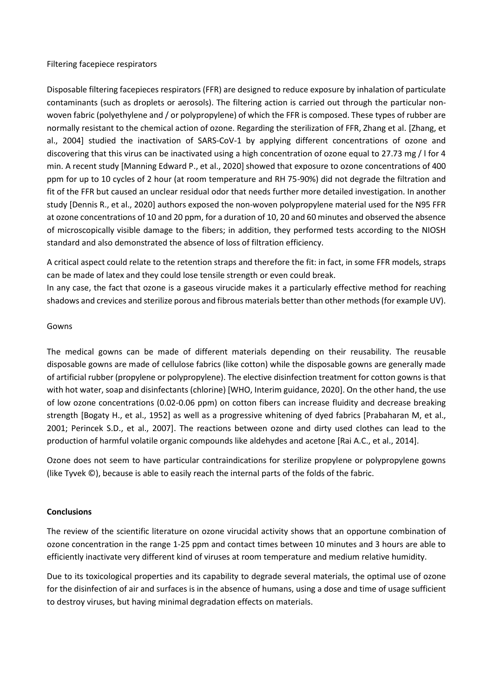#### Filtering facepiece respirators

Disposable filtering facepieces respirators (FFR) are designed to reduce exposure by inhalation of particulate contaminants (such as droplets or aerosols). The filtering action is carried out through the particular nonwoven fabric (polyethylene and / or polypropylene) of which the FFR is composed. These types of rubber are normally resistant to the chemical action of ozone. Regarding the sterilization of FFR, Zhang et al. [Zhang, et al., 2004] studied the inactivation of SARS-CoV-1 by applying different concentrations of ozone and discovering that this virus can be inactivated using a high concentration of ozone equal to 27.73 mg / l for 4 min. A recent study [Manning Edward P., et al., 2020] showed that exposure to ozone concentrations of 400 ppm for up to 10 cycles of 2 hour (at room temperature and RH 75-90%) did not degrade the filtration and fit of the FFR but caused an unclear residual odor that needs further more detailed investigation. In another study [Dennis R., et al., 2020] authors exposed the non-woven polypropylene material used for the N95 FFR at ozone concentrations of 10 and 20 ppm, for a duration of 10, 20 and 60 minutes and observed the absence of microscopically visible damage to the fibers; in addition, they performed tests according to the NIOSH standard and also demonstrated the absence of loss of filtration efficiency.

A critical aspect could relate to the retention straps and therefore the fit: in fact, in some FFR models, straps can be made of latex and they could lose tensile strength or even could break.

In any case, the fact that ozone is a gaseous virucide makes it a particularly effective method for reaching shadows and crevices and sterilize porous and fibrous materials better than other methods (for example UV).

#### Gowns

The medical gowns can be made of different materials depending on their reusability. The reusable disposable gowns are made of cellulose fabrics (like cotton) while the disposable gowns are generally made of artificial rubber (propylene or polypropylene). The elective disinfection treatment for cotton gowns is that with hot water, soap and disinfectants (chlorine) [WHO, Interim guidance, 2020]. On the other hand, the use of low ozone concentrations (0.02-0.06 ppm) on cotton fibers can increase fluidity and decrease breaking strength [Bogaty H., et al., 1952] as well as a progressive whitening of dyed fabrics [Prabaharan M, et al., 2001; Perincek S.D., et al., 2007]. The reactions between ozone and dirty used clothes can lead to the production of harmful volatile organic compounds like aldehydes and acetone [Rai A.C., et al., 2014].

Ozone does not seem to have particular contraindications for sterilize propylene or polypropylene gowns (like Tyvek ©), because is able to easily reach the internal parts of the folds of the fabric.

### **Conclusions**

The review of the scientific literature on ozone virucidal activity shows that an opportune combination of ozone concentration in the range 1-25 ppm and contact times between 10 minutes and 3 hours are able to efficiently inactivate very different kind of viruses at room temperature and medium relative humidity.

Due to its toxicological properties and its capability to degrade several materials, the optimal use of ozone for the disinfection of air and surfaces is in the absence of humans, using a dose and time of usage sufficient to destroy viruses, but having minimal degradation effects on materials.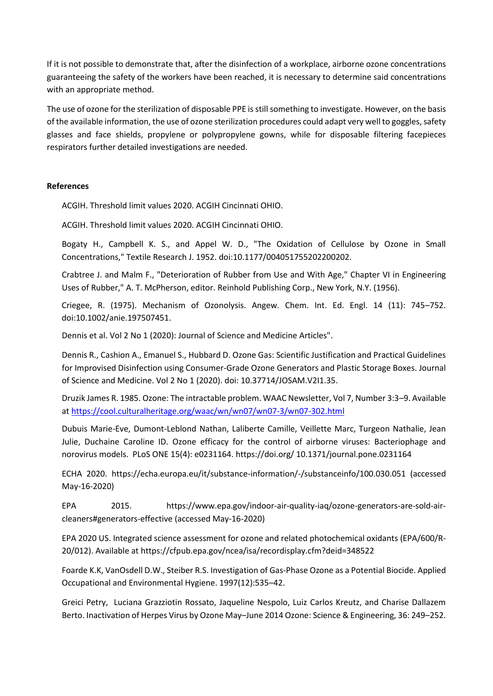If it is not possible to demonstrate that, after the disinfection of a workplace, airborne ozone concentrations guaranteeing the safety of the workers have been reached, it is necessary to determine said concentrations with an appropriate method.

The use of ozone for the sterilization of disposable PPE is still something to investigate. However, on the basis of the available information, the use of ozone sterilization procedures could adapt very well to goggles, safety glasses and face shields, propylene or polypropylene gowns, while for disposable filtering facepieces respirators further detailed investigations are needed.

#### **References**

ACGIH. Threshold limit values 2020. ACGIH Cincinnati OHIO.

ACGIH. Threshold limit values 2020. ACGIH Cincinnati OHIO.

Bogaty H., Campbell K. S., and Appel W. D., "The Oxidation of Cellulose by Ozone in Small Concentrations," Textile Research J. 1952. doi:10.1177/004051755202200202.

Crabtree J. and Malm F., "Deterioration of Rubber from Use and With Age," Chapter VI in Engineering Uses of Rubber," A. T. McPherson, editor. Reinhold Publishing Corp., New York, N.Y. (1956).

Criegee, R. (1975). Mechanism of Ozonolysis. Angew. Chem. Int. Ed. Engl. 14 (11): 745–752. doi:10.1002/anie.197507451.

Dennis et al. Vol 2 No 1 (2020): Journal of Science and Medicine Articles".

Dennis R., Cashion A., Emanuel S., Hubbard D. Ozone Gas: Scientific Justification and Practical Guidelines for Improvised Disinfection using Consumer-Grade Ozone Generators and Plastic Storage Boxes. Journal of Science and Medicine. Vol 2 No 1 (2020). doi: 10.37714/JOSAM.V2I1.35.

Druzik James R. 1985. Ozone: The intractable problem. WAAC Newsletter, Vol 7, Number 3:3–9. Available at<https://cool.culturalheritage.org/waac/wn/wn07/wn07-3/wn07-302.html>

Dubuis Marie-Eve, Dumont-Leblond Nathan, Laliberte Camille, Veillette Marc, Turgeon Nathalie, Jean Julie, Duchaine Caroline ID. Ozone efficacy for the control of airborne viruses: Bacteriophage and norovirus models. PLoS ONE 15(4): e0231164. https://doi.org/ 10.1371/journal.pone.0231164

ECHA 2020. https://echa.europa.eu/it/substance-information/-/substanceinfo/100.030.051 (accessed May-16-2020)

EPA 2015. [https://www.epa.gov/indoor-air-quality-iaq/ozone-generators-are-sold-air](https://eur02.safelinks.protection.outlook.com/?url=https%3A%2F%2Fwww.epa.gov%2Findoor-air-quality-iaq%2Fozone-generators-are-sold-air-cleaners%23generators-effective&data=02%7C01%7Cg.tranfo%40inail.it%7Caafa5f1f843c4f92298108d7f8d73a00%7C418322d35401446f99969e2e03ee3a5e%7C0%7C0%7C637251475582573308&sdata=OW0F1QOgffdu4NwcV%2FnArjDJLppr4QxPvgxj50PEPvM%3D&reserved=0)[cleaners#generators-effective](https://eur02.safelinks.protection.outlook.com/?url=https%3A%2F%2Fwww.epa.gov%2Findoor-air-quality-iaq%2Fozone-generators-are-sold-air-cleaners%23generators-effective&data=02%7C01%7Cg.tranfo%40inail.it%7Caafa5f1f843c4f92298108d7f8d73a00%7C418322d35401446f99969e2e03ee3a5e%7C0%7C0%7C637251475582573308&sdata=OW0F1QOgffdu4NwcV%2FnArjDJLppr4QxPvgxj50PEPvM%3D&reserved=0) (accessed May-16-2020)

EPA 2020 US. Integrated science assessment for ozone and related photochemical oxidants (EPA/600/R-20/012). Available at<https://cfpub.epa.gov/ncea/isa/recordisplay.cfm?deid=348522>

Foarde K.K, VanOsdell D.W., Steiber R.S. Investigation of Gas-Phase Ozone as a Potential Biocide. Applied Occupational and Environmental Hygiene. 1997(12):535–42.

Greici Petry, Luciana Grazziotin Rossato, Jaqueline Nespolo, Luiz Carlos Kreutz, and Charise Dallazem Berto. Inactivation of Herpes Virus by Ozone May–June 2014 Ozone: Science & Engineering, 36: 249–252.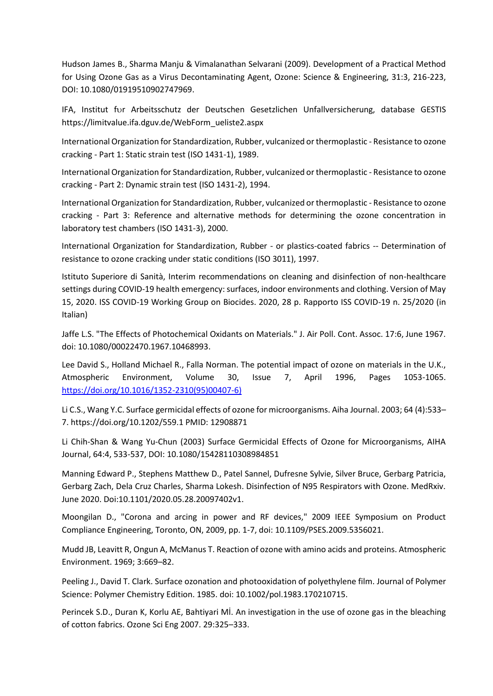Hudson James B., Sharma Manju & Vimalanathan Selvarani (2009). Development of a Practical Method for Using Ozone Gas as a Virus Decontaminating Agent, Ozone: Science & Engineering, 31:3, 216-223, DOI: 10.1080/01919510902747969.

IFA, Institut for Arbeitsschutz der Deutschen Gesetzlichen Unfallversicherung, database GESTIS [https://limitvalue.ifa.dguv.de/WebForm\\_ueliste2.aspx](https://limitvalue.ifa.dguv.de/WebForm_ueliste2.aspx)

International Organization for Standardization, Rubber, vulcanized or thermoplastic - Resistance to ozone cracking - Part 1: Static strain test (ISO 1431-1), 1989.

International Organization for Standardization, Rubber, vulcanized or thermoplastic - Resistance to ozone cracking - Part 2: Dynamic strain test (ISO 1431-2), 1994.

International Organization for Standardization, Rubber, vulcanized or thermoplastic - Resistance to ozone cracking - Part 3: Reference and alternative methods for determining the ozone concentration in laboratory test chambers (ISO 1431-3), 2000.

International Organization for Standardization, Rubber - or plastics-coated fabrics -- Determination of resistance to ozone cracking under static conditions (ISO 3011), 1997.

Istituto Superiore di Sanità, Interim recommendations on cleaning and disinfection of non-healthcare settings during COVID-19 health emergency: surfaces, indoor environments and clothing. Version of May 15, 2020. ISS COVID-19 Working Group on Biocides. 2020, 28 p. Rapporto ISS COVID-19 n. 25/2020 (in Italian)

Jaffe L.S. "The Effects of Photochemical Oxidants on Materials." J. Air Poll. Cont. Assoc. 17:6, June 1967. doi: 10.1080/00022470.1967.10468993.

Lee David S., Holland Michael R., Falla Norman. The potential impact of ozone on materials in the U.K., Atmospheric Environment, Volume 30, Issue 7, April 1996, Pages 1053-1065. [https://doi.org/10.1016/1352-2310\(95\)00407-6\)](https://doi.org/10.1016/1352-2310(95)00407-6))

Li C.S., Wang Y.C. Surface germicidal effects of ozone for microorganisms. Aiha Journal. 2003; 64 (4):533– 7. https://doi.org/10.1202/559.1 PMID: 12908871

Li Chih-Shan & Wang Yu-Chun (2003) Surface Germicidal Effects of Ozone for Microorganisms, AIHA Journal, 64:4, 533-537, DOI: 10.1080/15428110308984851

Manning Edward P., Stephens Matthew D., Patel Sannel, Dufresne Sylvie, Silver Bruce, Gerbarg Patricia, Gerbarg Zach, Dela Cruz Charles, Sharma Lokesh. Disinfection of N95 Respirators with Ozone. MedRxiv. June 2020. Doi:10.1101/2020.05.28.20097402v1.

Moongilan D., "Corona and arcing in power and RF devices," 2009 IEEE Symposium on Product Compliance Engineering, Toronto, ON, 2009, pp. 1-7, doi: 10.1109/PSES.2009.5356021.

Mudd JB, Leavitt R, Ongun A, McManus T. Reaction of ozone with amino acids and proteins. Atmospheric Environment. 1969; 3:669–82.

Peeling J., David T. Clark. Surface ozonation and photooxidation of polyethylene film. Journal of Polymer Science: Polymer Chemistry Edition. 1985. doi: 10.1002/pol.1983.170210715.

Perincek S.D., Duran K, Korlu AE, Bahtiyari Mİ. An investigation in the use of ozone gas in the bleaching of cotton fabrics. Ozone Sci Eng 2007. 29:325–333.